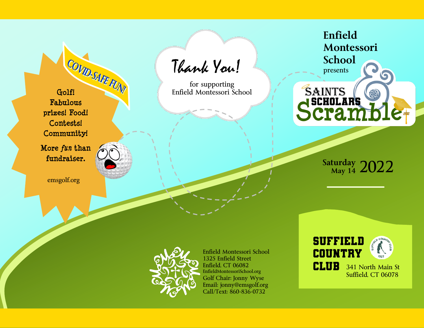**Fabulous prizes! Food! Contests! Community!**

**More** *fun* **than fundraiser.**

emsgolf.org

 Thank You! **COVID-SAFE FUNI**<br> **Golf! Enfield Montessori School** 

for supporting

**Enfield Montessori School**

presents

**SAINTS** 

**SCHOLARS** 

cran

**Saturday May 14** 2022



Enfield Montessori School 1325 Enfield Street Enfield, CT 06082 EnfieldMontessoriSchool.org Golf Chair: Jonny Wyse Email: jonny@emsgolf.org Call/Text: 860-836-0732